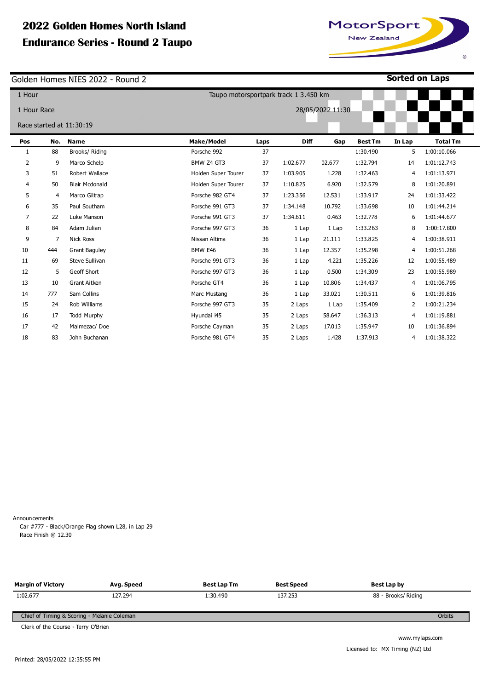# **2022 Golden Homes North Island Endurance Series - Round 2 Taupo**

Golden Homes NIES 2022 - Round 2

| 1 Hour         |     |                          | Taupo motorsportpark track 1 3.450 km |      |             |        |                |                |                 |
|----------------|-----|--------------------------|---------------------------------------|------|-------------|--------|----------------|----------------|-----------------|
| 1 Hour Race    |     | 28/05/2022 11:30         |                                       |      |             |        |                |                |                 |
|                |     | Race started at 11:30:19 |                                       |      |             |        |                |                |                 |
|                |     |                          |                                       |      |             |        |                |                |                 |
| Pos            | No. | <b>Name</b>              | <b>Make/Model</b>                     | Laps | <b>Diff</b> | Gap    | <b>Best Tm</b> | In Lap         | <b>Total Tm</b> |
| 1              | 88  | Brooks/ Riding           | Porsche 992                           | 37   |             |        | 1:30.490       | 5              | 1:00:10.066     |
| $\overline{2}$ | 9   | Marco Schelp             | BMW Z4 GT3                            | 37   | 1:02.677    | 02.677 | 1:32.794       | 14             | 1:01:12.743     |
| 3              | 51  | Robert Wallace           | Holden Super Tourer                   | 37   | 1:03.905    | 1.228  | 1:32.463       | $\overline{4}$ | 1:01:13.971     |
| 4              | 50  | <b>Blair Mcdonald</b>    | Holden Super Tourer                   | 37   | 1:10.825    | 6.920  | 1:32.579       | 8              | 1:01:20.891     |
| 5              | 4   | Marco Giltrap            | Porsche 982 GT4                       | 37   | 1:23.356    | 12.531 | 1:33.917       | 24             | 1:01:33.422     |
| 6              | 35  | Paul Southam             | Porsche 991 GT3                       | 37   | 1:34.148    | 10.792 | 1:33.698       | 10             | 1:01:44.214     |
| $\overline{7}$ | 22  | Luke Manson              | Porsche 991 GT3                       | 37   | 1:34.611    | 0.463  | 1:32.778       | 6              | 1:01:44.677     |
| 8              | 84  | Adam Julian              | Porsche 997 GT3                       | 36   | 1 Lap       | 1 Lap  | 1:33.263       | 8              | 1:00:17.800     |
| 9              | 7   | <b>Nick Ross</b>         | Nissan Altima                         | 36   | 1 Lap       | 21.111 | 1:33.825       | 4              | 1:00:38.911     |
| 10             | 444 | <b>Grant Baguley</b>     | BMW E46                               | 36   | 1 Lap       | 12.357 | 1:35.298       | 4              | 1:00:51.268     |
| 11             | 69  | Steve Sullivan           | Porsche 991 GT3                       | 36   | 1 Lap       | 4.221  | 1:35.226       | 12             | 1:00:55.489     |
| 12             | 5   | Geoff Short              | Porsche 997 GT3                       | 36   | 1 Lap       | 0.500  | 1:34.309       | 23             | 1:00:55.989     |
| 13             | 10  | <b>Grant Aitken</b>      | Porsche GT4                           | 36   | 1 Lap       | 10.806 | 1:34.437       | 4              | 1:01:06.795     |
| 14             | 777 | Sam Collins              | Marc Mustang                          | 36   | 1 Lap       | 33.021 | 1:30.511       | 6              | 1:01:39.816     |
| 15             | 24  | Rob Williams             | Porsche 997 GT3                       | 35   | 2 Laps      | 1 Lap  | 1:35.409       | 2              | 1:00:21.234     |
| 16             | 17  | <b>Todd Murphy</b>       | Hyundai i45                           | 35   | 2 Laps      | 58.647 | 1:36.313       | 4              | 1:01:19.881     |
| 17             | 42  | Malmezac/Doe             | Porsche Cayman                        | 35   | 2 Laps      | 17.013 | 1:35.947       | 10             | 1:01:36.894     |
| 18             | 83  | John Buchanan            | Porsche 981 GT4                       | 35   | 2 Laps      | 1.428  | 1:37.913       | 4              | 1:01:38.322     |

Announcements

Car #777 - Black/Orange Flag shown L28, in Lap 29 Race Finish @ 12.30

**Margin of Victory**  1:02.677 **Avg. Speed**  127.294 **Best Lap Tm**  1:30.490 **Best Speed**  137.253 **Best Lap by**  88 - Brooks/ Riding Chief of Timing & Scoring - Melanie Coleman **Orbits** 

Clerk of the Course - Terry O'Brien



**on Laps** 

www.mylaps.com Licensed to: MX Timing (NZ) Ltd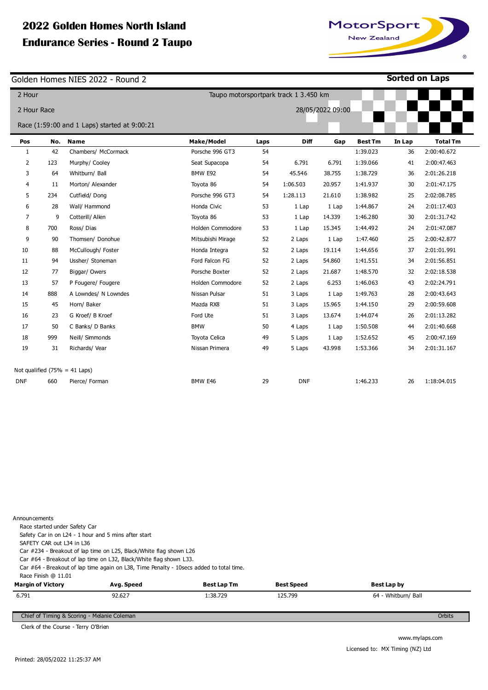# **2022 Golden Homes North Island Endurance Series - I**

Golden Homes NIES 2022 - Round 2

**Sorted on Laps**

 $^\circledR$ 

| MotorSport  |  |  |  |  |
|-------------|--|--|--|--|
| New Zealand |  |  |  |  |
|             |  |  |  |  |

| 2 Hour<br>Taupo motorsportpark track 1 3.450 km |     |                                              |                   |      |            |                  |                |        |                 |
|-------------------------------------------------|-----|----------------------------------------------|-------------------|------|------------|------------------|----------------|--------|-----------------|
| 2 Hour Race                                     |     |                                              |                   |      |            | 28/05/2022 09:00 |                |        |                 |
|                                                 |     | Race (1:59:00 and 1 Laps) started at 9:00:21 |                   |      |            |                  |                |        |                 |
| Pos                                             | No. | <b>Name</b>                                  | <b>Make/Model</b> | Laps | Diff       | Gap              | <b>Best Tm</b> | In Lap | <b>Total Tm</b> |
| $\mathbf{1}$                                    | 42  | Chambers/ McCormack                          | Porsche 996 GT3   | 54   |            |                  | 1:39.023       | 36     | 2:00:40.672     |
| 2                                               | 123 | Murphy/ Cooley                               | Seat Supacopa     | 54   | 6.791      | 6.791            | 1:39.066       | 41     | 2:00:47.463     |
| 3                                               | 64  | Whitburn/ Ball                               | BMW E92           | 54   | 45.546     | 38.755           | 1:38.729       | 36     | 2:01:26.218     |
| 4                                               | 11  | Morton/ Alexander                            | Toyota 86         | 54   | 1:06.503   | 20.957           | 1:41.937       | 30     | 2:01:47.175     |
| 5                                               | 234 | Cutfield/Dong                                | Porsche 996 GT3   | 54   | 1:28.113   | 21.610           | 1:38.982       | 25     | 2:02:08.785     |
| 6                                               | 28  | Wall/ Hammond                                | Honda Civic       | 53   | 1 Lap      | 1 Lap            | 1:44.867       | 24     | 2:01:17.403     |
| 7                                               | 9   | Cotterill/ Allen                             | Toyota 86         | 53   | 1 Lap      | 14.339           | 1:46.280       | 30     | 2:01:31.742     |
| 8                                               | 700 | Ross/Dias                                    | Holden Commodore  | 53   | 1 Lap      | 15.345           | 1:44.492       | 24     | 2:01:47.087     |
| 9                                               | 90  | Thomsen/ Donohue                             | Mitsubishi Mirage | 52   | 2 Laps     | 1 Lap            | 1:47.460       | 25     | 2:00:42.877     |
| 10                                              | 88  | McCullough/ Foster                           | Honda Integra     | 52   | 2 Laps     | 19.114           | 1:44.656       | 37     | 2:01:01.991     |
| 11                                              | 94  | Ussher/ Stoneman                             | Ford Falcon FG    | 52   | 2 Laps     | 54.860           | 1:41.551       | 34     | 2:01:56.851     |
| 12                                              | 77  | Biggar/ Owers                                | Porsche Boxter    | 52   | 2 Laps     | 21.687           | 1:48.570       | 32     | 2:02:18.538     |
| 13                                              | 57  | P Fougere/ Fougere                           | Holden Commodore  | 52   | 2 Laps     | 6.253            | 1:46.063       | 43     | 2:02:24.791     |
| 14                                              | 888 | A Lowndes/ N Lowndes                         | Nissan Pulsar     | 51   | 3 Laps     | 1 Lap            | 1:49.763       | 28     | 2:00:43.643     |
| 15                                              | 45  | Horn/ Baker                                  | Mazda RX8         | 51   | 3 Laps     | 15.965           | 1:44.150       | 29     | 2:00:59.608     |
| 16                                              | 23  | G Kroef/ B Kroef                             | Ford Ute          | 51   | 3 Laps     | 13.674           | 1:44.074       | 26     | 2:01:13.282     |
| 17                                              | 50  | C Banks/ D Banks                             | <b>BMW</b>        | 50   | 4 Laps     | 1 Lap            | 1:50.508       | 44     | 2:01:40.668     |
| 18                                              | 999 | Neill/ Simmonds                              | Toyota Celica     | 49   | 5 Laps     | 1 Lap            | 1:52.652       | 45     | 2:00:47.169     |
| 19                                              | 31  | Richards/ Vear                               | Nissan Primera    | 49   | 5 Laps     | 43.998           | 1:53.366       | 34     | 2:01:31.167     |
|                                                 |     | Not qualified $(75\% = 41 \text{ Laps})$     |                   |      |            |                  |                |        |                 |
| <b>DNF</b>                                      | 660 | Pierce/ Forman                               | BMW E46           | 29   | <b>DNF</b> |                  | 1:46.233       | 26     | 1:18:04.015     |

| Announcements                                        |                                                                                         |                    |                   |                     |        |
|------------------------------------------------------|-----------------------------------------------------------------------------------------|--------------------|-------------------|---------------------|--------|
| Race started under Safety Car                        |                                                                                         |                    |                   |                     |        |
| Safety Car in on L24 - 1 hour and 5 mins after start |                                                                                         |                    |                   |                     |        |
| SAFETY CAR out L34 in L36                            |                                                                                         |                    |                   |                     |        |
|                                                      | Car #234 - Breakout of lap time on L25, Black/White flag shown L26                      |                    |                   |                     |        |
|                                                      | Car #64 - Breakout of lap time on L32, Black/White flag shown L33.                      |                    |                   |                     |        |
|                                                      | Car #64 - Breakout of lap time again on L38, Time Penalty - 10secs added to total time. |                    |                   |                     |        |
| Race Finish @ 11.01                                  |                                                                                         |                    |                   |                     |        |
| <b>Margin of Victory</b>                             | Avg. Speed                                                                              | <b>Best Lap Tm</b> | <b>Best Speed</b> | Best Lap by         |        |
| 6.791                                                | 92.627                                                                                  | 1:38.729           | 125.799           | 64 - Whitburn/ Ball |        |
|                                                      |                                                                                         |                    |                   |                     |        |
| Chief of Timing & Scoring - Melanie Coleman          |                                                                                         |                    |                   |                     | Orbits |

Chief of Timing & Scoring - Melanie Coleman

Clerk of the Course - Terry O'Brien